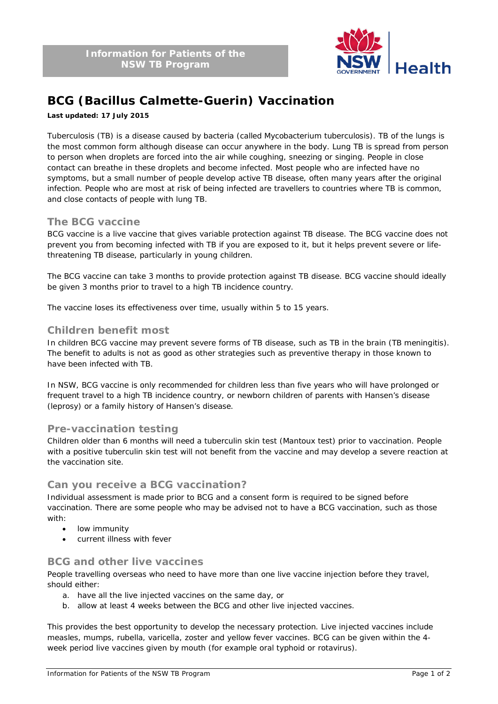

# **BCG (Bacillus Calmette-Guerin) Vaccination**

#### **Last updated: 17 July 2015**

Tuberculosis (TB) is a disease caused by bacteria (called *Mycobacterium tuberculosis*). TB of the lungs is the most common form although disease can occur anywhere in the body. Lung TB is spread from person to person when droplets are forced into the air while coughing, sneezing or singing. People in close contact can breathe in these droplets and become infected. Most people who are infected have no symptoms, but a small number of people develop active TB disease, often many years after the original infection. People who are most at risk of being infected are travellers to countries where TB is common, and close contacts of people with lung TB.

### **The BCG vaccine**

BCG vaccine is a live vaccine that gives variable protection against TB disease. The BCG vaccine does not prevent you from becoming infected with TB if you are exposed to it, but it helps prevent severe or lifethreatening TB disease, particularly in young children.

The BCG vaccine can take 3 months to provide protection against TB disease. BCG vaccine should ideally be given 3 months prior to travel to a high TB incidence country.

The vaccine loses its effectiveness over time, usually within 5 to 15 years.

### **Children benefit most**

In children BCG vaccine may prevent severe forms of TB disease, such as TB in the brain (TB meningitis). The benefit to adults is not as good as other strategies such as preventive therapy in those known to have been infected with TB.

In NSW, BCG vaccine is only recommended for children less than five years who will have prolonged or frequent travel to a high TB incidence country, or newborn children of parents with Hansen's disease (leprosy) or a family history of Hansen's disease.

### **Pre-vaccination testing**

Children older than 6 months will need a tuberculin skin test (Mantoux test) prior to vaccination. People with a positive tuberculin skin test will not benefit from the vaccine and may develop a severe reaction at the vaccination site.

### **Can you receive a BCG vaccination?**

Individual assessment is made prior to BCG and a consent form is required to be signed before vaccination. There are some people who may be advised not to have a BCG vaccination, such as those with:

- low immunity
- current illness with fever

## **BCG and other live vaccines**

People travelling overseas who need to have more than one live vaccine injection before they travel, should either:

- a. have all the live injected vaccines on the same day, or
- b. allow at least 4 weeks between the BCG and other live injected vaccines.

This provides the best opportunity to develop the necessary protection. Live injected vaccines include measles, mumps, rubella, varicella, zoster and yellow fever vaccines. BCG can be given within the 4 week period live vaccines given by mouth (for example oral typhoid or rotavirus).